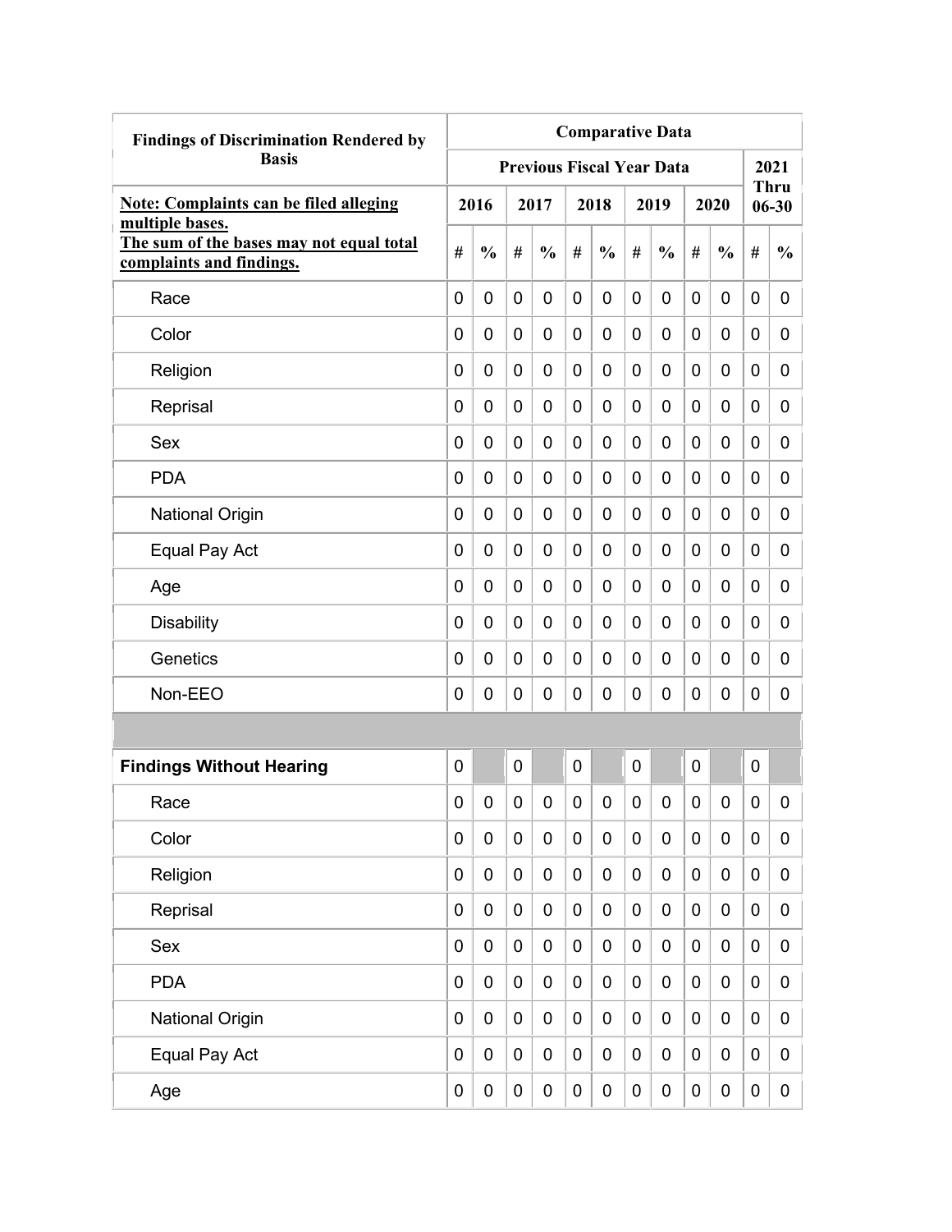| <b>Findings of Discrimination Rendered by</b>                                           | <b>Comparative Data</b> |               |             |                                  |             |               |             |               |   |                  |                  |                          |
|-----------------------------------------------------------------------------------------|-------------------------|---------------|-------------|----------------------------------|-------------|---------------|-------------|---------------|---|------------------|------------------|--------------------------|
| <b>Basis</b>                                                                            |                         |               |             | <b>Previous Fiscal Year Data</b> |             |               |             |               |   |                  |                  | 2021                     |
| <b>Note: Complaints can be filed alleging</b>                                           |                         | 2016          |             | 2017                             |             | 2018          |             | 2019          |   | 2020             |                  | <b>Thru</b><br>$06 - 30$ |
| multiple bases.<br>The sum of the bases may not equal total<br>complaints and findings. | #                       | $\frac{0}{0}$ | #           | $\frac{0}{0}$                    | #           | $\frac{0}{0}$ | #           | $\frac{0}{0}$ | # | $\frac{0}{0}$    | #                | $\frac{0}{0}$            |
| Race                                                                                    | 0                       | 0             | 0           | 0                                | $\mathbf 0$ | 0             | 0           | 0             | 0 | 0                | 0                | 0                        |
| Color                                                                                   | 0                       | 0             | 0           | 0                                | 0           | 0             | 0           | 0             | 0 | 0                | 0                | 0                        |
| Religion                                                                                | 0                       | 0             | 0           | 0                                | 0           | 0             | 0           | 0             | 0 | 0                | 0                | 0                        |
| Reprisal                                                                                | 0                       | 0             | 0           | 0                                | 0           | $\mathbf 0$   | 0           | 0             | 0 | 0                | $\mathbf 0$      | 0                        |
| Sex                                                                                     | 0                       | 0             | 0           | 0                                | 0           | $\mathbf 0$   | 0           | 0             | 0 | 0                | $\mathbf 0$      | 0                        |
| <b>PDA</b>                                                                              | 0                       | 0             | 0           | 0                                | 0           | $\mathbf 0$   | 0           | 0             | 0 | 0                | 0                | 0                        |
| <b>National Origin</b>                                                                  | 0                       | 0             | 0           | 0                                | 0           | $\mathbf 0$   | 0           | 0             | 0 | 0                | 0                | 0                        |
| Equal Pay Act                                                                           | 0                       | 0             | 0           | 0                                | $\mathbf 0$ | 0             | 0           | 0             | 0 | 0                | 0                | 0                        |
| Age                                                                                     | 0                       | 0             | 0           | 0                                | 0           | 0             | 0           | 0             | 0 | 0                | 0                | 0                        |
| <b>Disability</b>                                                                       | 0                       | 0             | 0           | 0                                | 0           | 0             | 0           | 0             | 0 | 0                | 0                | 0                        |
| Genetics                                                                                | 0                       | 0             | 0           | 0                                | 0           | $\mathbf 0$   | 0           | 0             | 0 | 0                | 0                | 0                        |
| Non-EEO                                                                                 | 0                       | 0             | 0           | 0                                | 0           | 0             | 0           | 0             | 0 | 0                | $\mathbf 0$      | 0                        |
|                                                                                         |                         |               |             |                                  |             |               |             |               |   |                  |                  |                          |
| <b>Findings Without Hearing</b>                                                         | 0                       |               | 0           |                                  | 0           |               | 0           |               | 0 |                  | $\mathbf 0$      |                          |
| Race                                                                                    | 0                       | 0             | 0           | 0                                | 0           | 0             | 0           | 0             | 0 | 0                | 0                | 0                        |
| Color                                                                                   | 0                       | $\mathbf 0$   | $\mathbf 0$ | $\mathbf 0$                      | $\mathbf 0$ | $\mathbf 0$   | $\mathbf 0$ | 0             | 0 | $\mathbf 0$      | $\mathbf 0$      | 0                        |
| Religion                                                                                | 0                       | $\mathbf 0$   | $\pmb{0}$   | $\mathbf 0$                      | $\mathbf 0$ | $\mathbf 0$   | $\mathbf 0$ | 0             | 0 | $\boldsymbol{0}$ | $\mathbf 0$      | 0                        |
| Reprisal                                                                                | 0                       | $\mathbf 0$   | $\pmb{0}$   | $\mathbf 0$                      | $\mathbf 0$ | $\mathbf 0$   | $\mathbf 0$ | $\pmb{0}$     | 0 | $\mathbf 0$      | $\mathbf 0$      | 0                        |
| Sex                                                                                     | 0                       | 0             | $\pmb{0}$   | $\mathbf 0$                      | $\mathbf 0$ | $\mathbf 0$   | $\mathbf 0$ | $\pmb{0}$     | 0 | $\pmb{0}$        | $\mathbf 0$      | 0                        |
| <b>PDA</b>                                                                              | 0                       | $\mathbf 0$   | $\mathbf 0$ | $\mathbf 0$                      | $\mathbf 0$ | $\mathbf 0$   | 0           | $\pmb{0}$     | 0 | $\mathbf 0$      | $\mathbf 0$      | 0                        |
| <b>National Origin</b>                                                                  | 0                       | $\mathbf 0$   | $\pmb{0}$   | $\mathbf 0$                      | $\mathbf 0$ | $\pmb{0}$     | $\mathbf 0$ | 0             | 0 | $\pmb{0}$        | $\boldsymbol{0}$ | 0                        |
| Equal Pay Act                                                                           | 0                       | $\mathbf 0$   | 0           | 0                                | $\pmb{0}$   | $\pmb{0}$     | 0           | 0             | 0 | $\pmb{0}$        | $\mathbf 0$      | 0                        |
| Age                                                                                     | 0                       | $\pmb{0}$     | $\pmb{0}$   | $\pmb{0}$                        | $\pmb{0}$   | $\pmb{0}$     | 0           | 0             | 0 | $\pmb{0}$        | $\pmb{0}$        | $\overline{0}$           |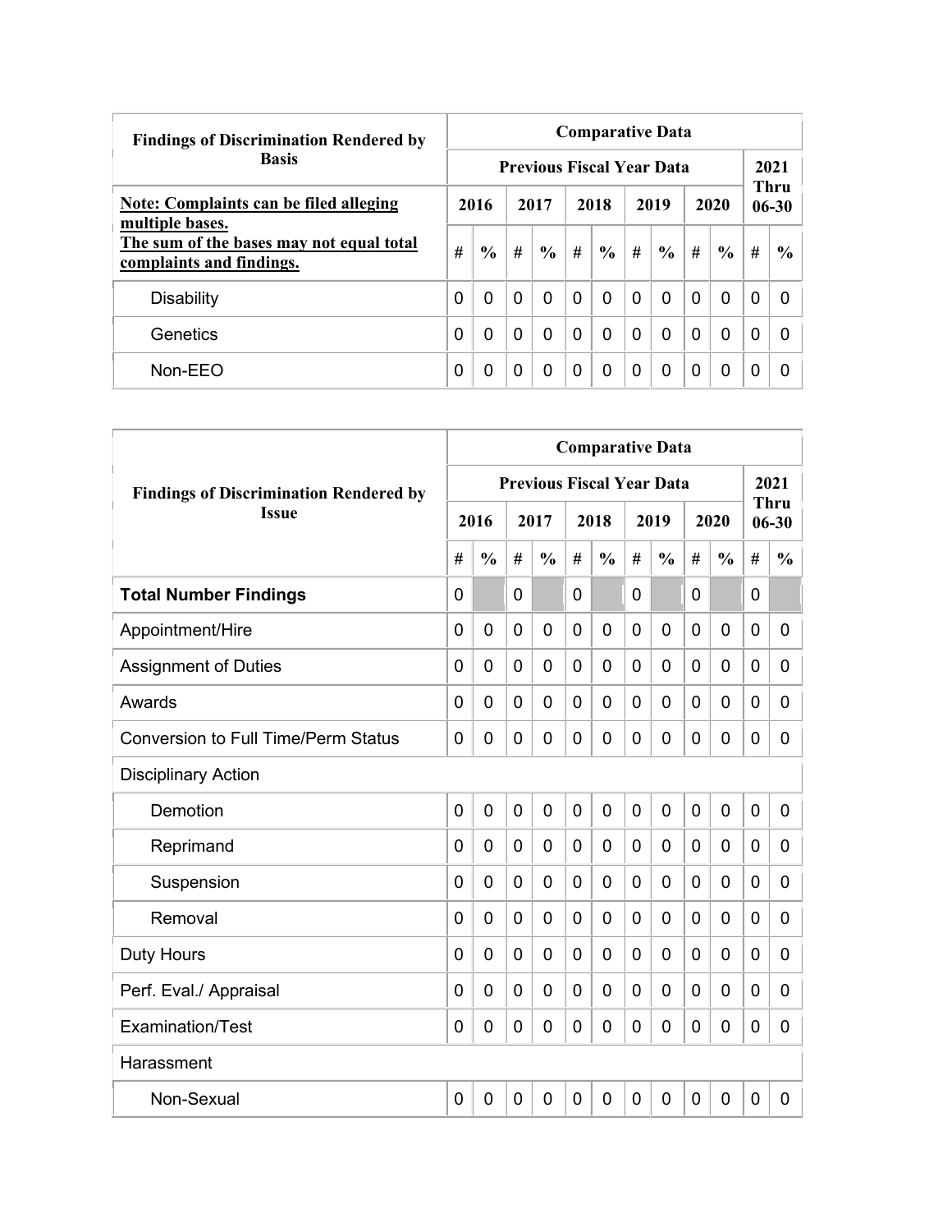| <b>Findings of Discrimination Rendered by</b>                        | <b>Comparative Data</b> |               |          |                                  |          |               |          |               |          |               |   |                   |  |  |
|----------------------------------------------------------------------|-------------------------|---------------|----------|----------------------------------|----------|---------------|----------|---------------|----------|---------------|---|-------------------|--|--|
| <b>Basis</b>                                                         |                         |               |          | <b>Previous Fiscal Year Data</b> |          |               |          |               |          |               |   | 2021              |  |  |
| Note: Complaints can be filed alleging<br>multiple bases.            |                         | 2016          |          | 2017                             |          | 2018          |          | 2019          |          | 2020          |   | Thru<br>$06 - 30$ |  |  |
| The sum of the bases may not equal total<br>complaints and findings. | #                       | $\frac{0}{0}$ | #        | $\frac{6}{9}$                    | #        | $\frac{6}{9}$ | #        | $\frac{0}{0}$ | #        | $\frac{6}{9}$ | # | $\frac{6}{6}$     |  |  |
| <b>Disability</b>                                                    | 0                       | $\Omega$      | $\Omega$ | 0                                | $\Omega$ | 0             | $\Omega$ | $\mathbf{0}$  | $\Omega$ | $\Omega$      | 0 | $\Omega$          |  |  |
| Genetics                                                             | 0                       | 0             | $\Omega$ | 0                                | $\Omega$ | 0             | $\Omega$ | $\Omega$      | 0        | $\Omega$      | 0 | 0                 |  |  |
| Non-EEO                                                              | 0                       | 0             | 0        | 0                                | $\Omega$ | 0             | $\Omega$ | $\Omega$      | 0        | $\Omega$      | 0 | 0                 |  |  |

|                                               | <b>Comparative Data</b> |                |   |                                  |                |                |             |               |                |                |             |                          |
|-----------------------------------------------|-------------------------|----------------|---|----------------------------------|----------------|----------------|-------------|---------------|----------------|----------------|-------------|--------------------------|
| <b>Findings of Discrimination Rendered by</b> |                         |                |   | <b>Previous Fiscal Year Data</b> |                |                |             |               |                |                |             | 2021                     |
| <b>Issue</b>                                  |                         | 2016           |   | 2017                             |                | 2018           |             | 2019          |                | 2020           |             | <b>Thru</b><br>$06 - 30$ |
|                                               | #                       | $\frac{0}{0}$  | # | $\frac{0}{0}$                    | #              | $\frac{0}{0}$  | #           | $\frac{0}{0}$ | #              | $\frac{0}{0}$  | #           | $\frac{0}{0}$            |
| <b>Total Number Findings</b>                  | $\mathbf{0}$            |                | 0 |                                  | $\mathbf{0}$   |                | 0           |               | $\mathbf{0}$   |                | 0           |                          |
| Appointment/Hire                              | $\overline{0}$          | $\mathbf 0$    | 0 | $\overline{0}$                   | $\overline{0}$ | 0              | 0           | 0             | $\mathbf 0$    | $\overline{0}$ | 0           | 0                        |
| <b>Assignment of Duties</b>                   | $\mathbf 0$             | $\mathbf 0$    | 0 | $\overline{0}$                   | $\mathbf 0$    | 0              | 0           | 0             | 0              | $\overline{0}$ | 0           | 0                        |
| Awards                                        | 0                       | 0              | 0 | 0                                | $\mathbf 0$    | 0              | 0           | 0             | 0              | $\mathbf 0$    | 0           | 0                        |
| <b>Conversion to Full Time/Perm Status</b>    | $\Omega$                | 0              | 0 | $\overline{0}$                   | 0              | 0              | 0           | 0             | 0              | $\mathbf 0$    | 0           | 0                        |
| <b>Disciplinary Action</b>                    |                         |                |   |                                  |                |                |             |               |                |                |             |                          |
| Demotion                                      | $\overline{0}$          | $\overline{0}$ | 0 | $\overline{0}$                   | $\overline{0}$ | $\overline{0}$ | $\mathbf 0$ | 0             | $\overline{0}$ | $\overline{0}$ | $\mathbf 0$ | 0                        |
| Reprimand                                     | $\Omega$                | $\Omega$       | 0 | $\overline{0}$                   | $\mathbf 0$    | 0              | $\Omega$    | 0             | 0              | $\mathbf 0$    | 0           | 0                        |
| Suspension                                    | 0                       | 0              | 0 | 0                                | $\mathbf 0$    | 0              | 0           | 0             | 0              | 0              | 0           | 0                        |
| Removal                                       | 0                       | 0              | 0 | $\overline{0}$                   | $\mathbf 0$    | 0              | 0           | 0             | 0              | $\overline{0}$ | 0           | 0                        |
| <b>Duty Hours</b>                             | $\Omega$                | 0              | 0 | $\overline{0}$                   | $\mathbf 0$    | 0              | 0           | 0             | 0              | $\overline{0}$ | 0           | 0                        |
| Perf. Eval./ Appraisal                        | $\mathbf{0}$            | 0              | 0 | $\mathbf 0$                      | $\mathbf 0$    | 0              | 0           | 0             | $\mathbf 0$    | $\overline{0}$ | 0           | 0                        |
| Examination/Test                              | $\mathbf 0$             | 0              | 0 | $\overline{0}$                   | $\mathbf 0$    | $\overline{0}$ | 0           | 0             | $\mathbf 0$    | $\overline{0}$ | $\mathbf 0$ | 0                        |
| Harassment                                    |                         |                |   |                                  |                |                |             |               |                |                |             |                          |
| Non-Sexual                                    | 0                       | $\mathbf 0$    | 0 | $\overline{0}$                   | $\mathbf 0$    | 0              | 0           | 0             | $\mathbf 0$    | $\overline{0}$ | $\mathbf 0$ | 0                        |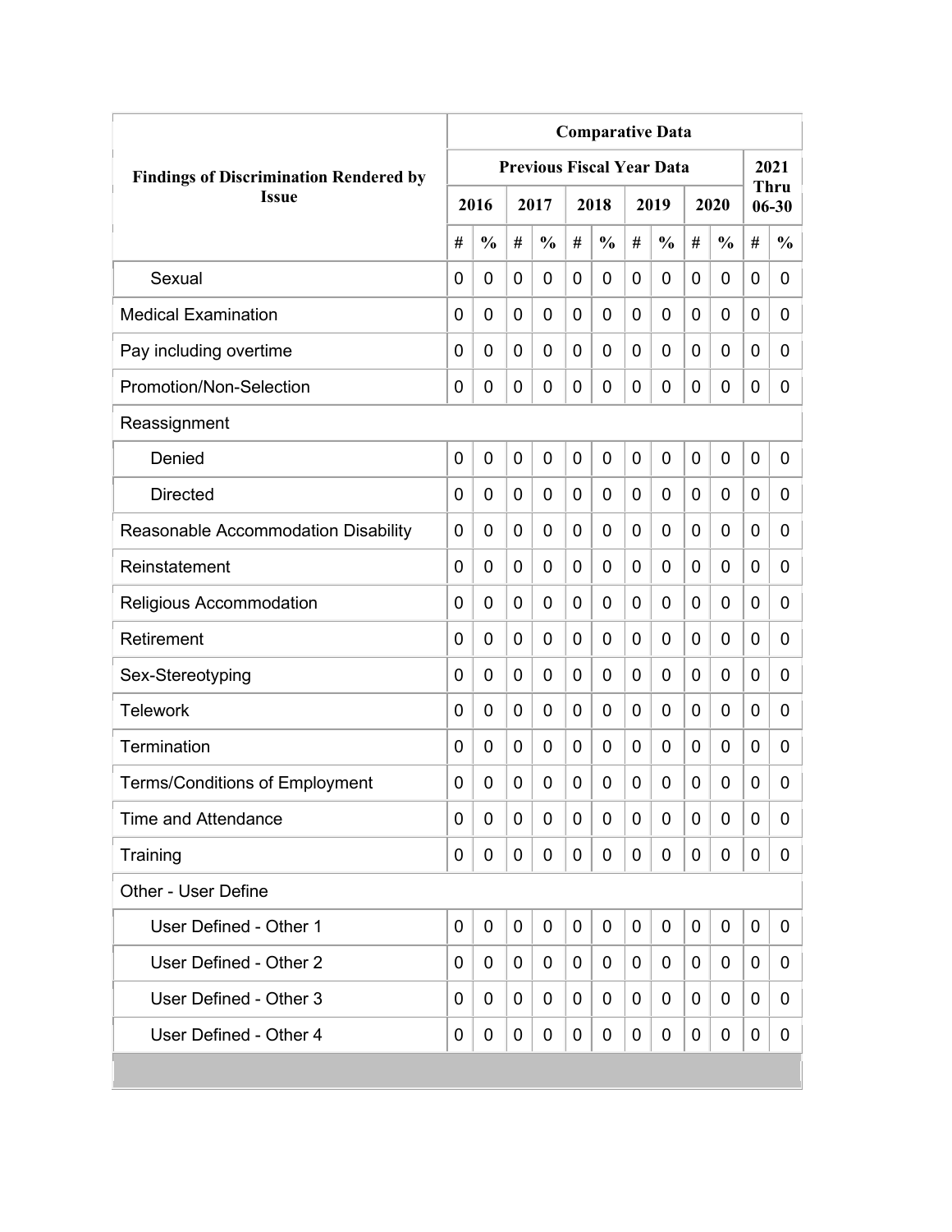|                                               | <b>Comparative Data</b> |               |                |                                  |   |               |   |               |             |               |   |                   |  |  |
|-----------------------------------------------|-------------------------|---------------|----------------|----------------------------------|---|---------------|---|---------------|-------------|---------------|---|-------------------|--|--|
| <b>Findings of Discrimination Rendered by</b> |                         |               |                | <b>Previous Fiscal Year Data</b> |   |               |   |               |             |               |   | 2021              |  |  |
| <b>Issue</b>                                  |                         | 2016          |                | 2017                             |   | 2018          |   | 2019          |             | 2020          |   | Thru<br>$06 - 30$ |  |  |
|                                               | #                       | $\frac{0}{0}$ | #              | $\frac{0}{0}$                    | # | $\frac{0}{0}$ | # | $\frac{0}{0}$ | #           | $\frac{0}{0}$ | # | $\frac{0}{0}$     |  |  |
| Sexual                                        | 0                       | 0             | 0              | 0                                | 0 | 0             | 0 | 0             | 0           | 0             | 0 | 0                 |  |  |
| <b>Medical Examination</b>                    | 0                       | 0             | 0              | 0                                | 0 | 0             | 0 | 0             | 0           | 0             | 0 | 0                 |  |  |
| Pay including overtime                        | 0                       | 0             | 0              | 0                                | 0 | 0             | 0 | 0             | 0           | 0             | 0 | 0                 |  |  |
| Promotion/Non-Selection                       | 0                       | 0             | 0              | 0                                | 0 | 0             | 0 | 0             | 0           | 0             | 0 | 0                 |  |  |
| Reassignment                                  |                         |               |                |                                  |   |               |   |               |             |               |   |                   |  |  |
| Denied                                        | $\mathbf 0$             | 0             | $\overline{0}$ | 0                                | 0 | 0             | 0 | 0             | $\mathbf 0$ | 0             | 0 | 0                 |  |  |
| <b>Directed</b>                               | 0                       | 0             | 0              | 0                                | 0 | 0             | 0 | 0             | 0           | 0             | 0 | 0                 |  |  |
| Reasonable Accommodation Disability           | 0                       | 0             | 0              | 0                                | 0 | 0             | 0 | 0             | 0           | 0             | 0 | 0                 |  |  |
| Reinstatement                                 | $\Omega$                | $\mathbf 0$   | 0              | 0                                | 0 | 0             | 0 | 0             | 0           | 0             | 0 | $\overline{0}$    |  |  |
| Religious Accommodation                       | 0                       | $\mathbf 0$   | 0              | 0                                | 0 | 0             | 0 | 0             | 0           | 0             | 0 | 0                 |  |  |
| Retirement                                    | 0                       | 0             | 0              | 0                                | 0 | 0             | 0 | 0             | 0           | 0             | 0 | 0                 |  |  |
| Sex-Stereotyping                              | 0                       | 0             | 0              | 0                                | 0 | 0             | 0 | 0             | 0           | 0             | 0 | 0                 |  |  |
| <b>Telework</b>                               | 0                       | $\mathbf 0$   | 0              | 0                                | 0 | 0             | 0 | 0             | 0           | 0             | 0 | 0                 |  |  |
| Termination                                   | 0                       | 0             | 0              | 0                                | 0 | 0             | 0 | 0             | 0           | 0             | 0 | 0                 |  |  |
| <b>Terms/Conditions of Employment</b>         | 0                       | 0             | 0              | 0                                | 0 | 0             | 0 | 0             | 0           | 0             | 0 | 0                 |  |  |
| <b>Time and Attendance</b>                    | 0                       | 0             | 0              | 0                                | 0 | 0             | 0 | 0             | 0           | 0             | 0 | 0                 |  |  |
| Training                                      | 0                       | 0             | 0              | 0                                | 0 | 0             | 0 | 0             | 0           | 0             | 0 | 0                 |  |  |
| Other - User Define                           |                         |               |                |                                  |   |               |   |               |             |               |   |                   |  |  |
| User Defined - Other 1                        | $\mathbf 0$             | 0             | 0              | 0                                | 0 | $\mathbf 0$   | 0 | 0             | 0           | 0             | 0 | 0                 |  |  |
| User Defined - Other 2                        | 0                       | 0             | 0              | 0                                | 0 | 0             | 0 | 0             | 0           | 0             | 0 | 0                 |  |  |
| User Defined - Other 3                        | 0                       | 0             | 0              | 0                                | 0 | 0             | 0 | 0             | 0           | 0             | 0 | 0                 |  |  |
| User Defined - Other 4                        | 0                       | 0             | 0              | 0                                | 0 | 0             | 0 | 0             | 0           | 0             | 0 | 0                 |  |  |
|                                               |                         |               |                |                                  |   |               |   |               |             |               |   |                   |  |  |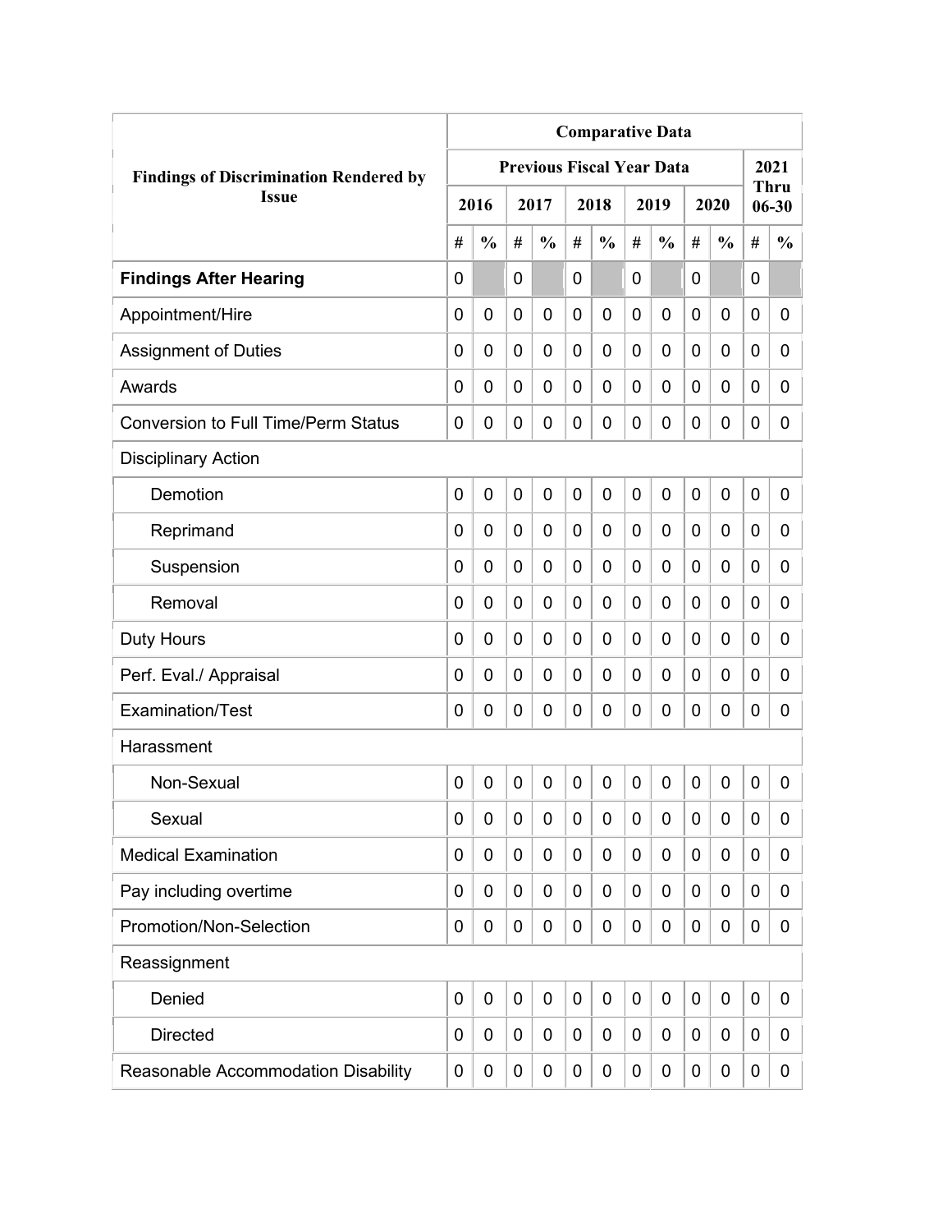|                                               | <b>Comparative Data</b> |               |             |                                  |                |               |                |               |             |               |             |                          |
|-----------------------------------------------|-------------------------|---------------|-------------|----------------------------------|----------------|---------------|----------------|---------------|-------------|---------------|-------------|--------------------------|
| <b>Findings of Discrimination Rendered by</b> |                         |               |             | <b>Previous Fiscal Year Data</b> |                |               |                |               |             |               |             | 2021                     |
| <b>Issue</b>                                  |                         | 2016          |             | 2017                             |                | 2018          |                | 2019          |             | 2020          |             | <b>Thru</b><br>$06 - 30$ |
|                                               | #                       | $\frac{0}{0}$ | #           | $\frac{0}{0}$                    | #              | $\frac{0}{0}$ | #              | $\frac{0}{0}$ | #           | $\frac{0}{0}$ | #           | $\frac{0}{0}$            |
| <b>Findings After Hearing</b>                 | 0                       |               | 0           |                                  | $\overline{0}$ |               | 0              |               | 0           |               | $\mathbf 0$ |                          |
| Appointment/Hire                              | 0                       | $\mathbf 0$   | 0           | $\overline{0}$                   | $\mathbf 0$    | 0             | 0              | 0             | 0           | $\mathbf 0$   | 0           | 0                        |
| <b>Assignment of Duties</b>                   | 0                       | 0             | 0           | 0                                | $\mathbf 0$    | 0             | 0              | 0             | 0           | $\mathbf 0$   | 0           | 0                        |
| Awards                                        | 0                       | 0             | 0           | 0                                | 0              | 0             | $\overline{0}$ | 0             | 0           | $\mathbf 0$   | 0           | 0                        |
| <b>Conversion to Full Time/Perm Status</b>    | 0                       | 0             | 0           | 0                                | $\mathbf 0$    | 0             | 0              | 0             | 0           | $\mathbf 0$   | 0           | 0                        |
| <b>Disciplinary Action</b>                    |                         |               |             |                                  |                |               |                |               |             |               |             |                          |
| Demotion                                      | 0                       | $\mathbf 0$   | 0           | 0                                | $\mathbf 0$    | 0             | $\overline{0}$ | 0             | 0           | $\mathbf 0$   | $\mathbf 0$ | 0                        |
| Reprimand                                     | 0                       | 0             | 0           | $\overline{0}$                   | $\mathbf 0$    | 0             | 0              | 0             | 0           | $\mathbf 0$   | 0           | 0                        |
| Suspension                                    | 0                       | 0             | 0           | 0                                | 0              | 0             | 0              | 0             | 0           | $\mathbf 0$   | 0           | 0                        |
| Removal                                       | 0                       | 0             | 0           | 0                                | 0              | 0             | 0              | 0             | 0           | $\mathbf 0$   | 0           | 0                        |
| <b>Duty Hours</b>                             | 0                       | 0             | 0           | 0                                | $\mathbf 0$    | 0             | 0              | 0             | 0           | $\mathbf 0$   | 0           | 0                        |
| Perf. Eval./ Appraisal                        | 0                       | 0             | 0           | 0                                | $\mathbf 0$    | 0             | 0              | 0             | 0           | $\mathbf 0$   | 0           | 0                        |
| Examination/Test                              | 0                       | 0             | 0           | 0                                | $\mathbf 0$    | 0             | 0              | 0             | 0           | $\mathbf 0$   | 0           | 0                        |
| Harassment                                    |                         |               |             |                                  |                |               |                |               |             |               |             |                          |
| Non-Sexual                                    | 0                       | $\mathbf 0$   | $\mathbf 0$ | $\overline{0}$                   | $\mathbf 0$    | 0             | $\mathbf 0$    | 0             | $\mathbf 0$ | $\mathbf 0$   | $\mathbf 0$ | 0                        |
| Sexual                                        | 0                       | 0             | 0           | 0                                | $\mathbf 0$    | 0             | 0              | 0             | 0           | $\mathbf 0$   | 0           | 0                        |
| <b>Medical Examination</b>                    | 0                       | 0             | 0           | 0                                | $\mathbf 0$    | 0             | 0              | 0             | 0           | $\mathbf 0$   | 0           | 0                        |
| Pay including overtime                        | 0                       | 0             | 0           | 0                                | $\mathbf 0$    | 0             | 0              | 0             | 0           | $\mathbf 0$   | 0           | 0                        |
| Promotion/Non-Selection                       | 0                       | 0             | 0           | 0                                | $\mathbf 0$    | 0             | 0              | 0             | 0           | $\mathbf 0$   | 0           | 0                        |
| Reassignment                                  |                         |               |             |                                  |                |               |                |               |             |               |             |                          |
| Denied                                        | 0                       | $\mathbf 0$   | $\mathbf 0$ | 0                                | $\mathbf 0$    | 0             | $\mathbf 0$    | 0             | 0           | $\mathbf 0$   | $\mathbf 0$ | 0                        |
| <b>Directed</b>                               | 0                       | 0             | 0           | 0                                | 0              | 0             | 0              | 0             | 0           | $\mathbf 0$   | 0           | 0                        |
| Reasonable Accommodation Disability           | 0                       | 0             | 0           | 0                                | $\mathbf 0$    | 0             | 0              | 0             | 0           | $\mathbf 0$   | 0           | $\mathbf{0}$             |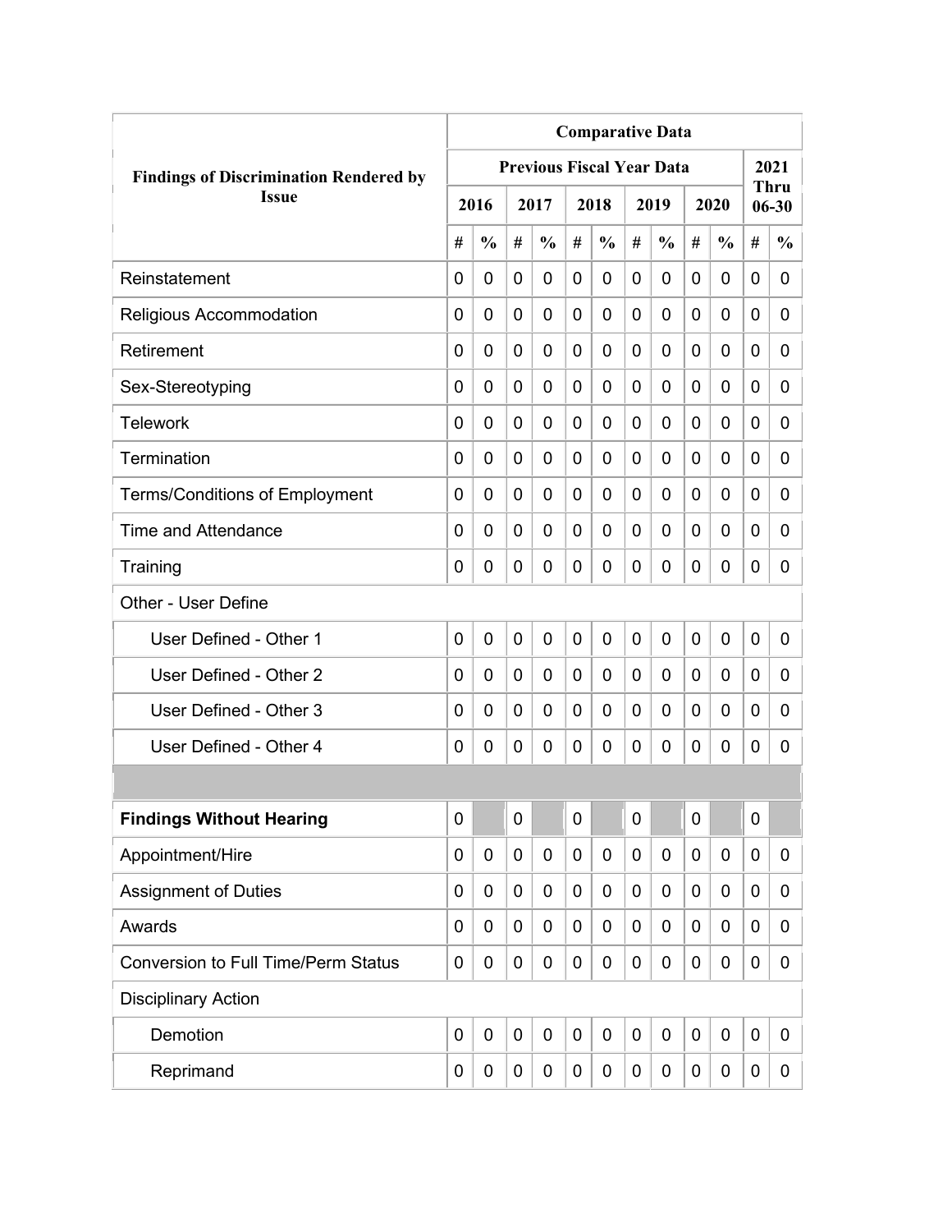|                                               | <b>Comparative Data</b> |               |             |                                  |                |               |   |               |             |               |             |                          |
|-----------------------------------------------|-------------------------|---------------|-------------|----------------------------------|----------------|---------------|---|---------------|-------------|---------------|-------------|--------------------------|
| <b>Findings of Discrimination Rendered by</b> |                         |               |             | <b>Previous Fiscal Year Data</b> |                |               |   |               |             |               |             | 2021                     |
| <b>Issue</b>                                  |                         | 2016          |             | 2017                             |                | 2018          |   | 2019          |             | 2020          |             | <b>Thru</b><br>$06 - 30$ |
|                                               | #                       | $\frac{0}{0}$ | #           | $\frac{0}{0}$                    | #              | $\frac{0}{0}$ | # | $\frac{0}{0}$ | #           | $\frac{0}{0}$ | #           | $\frac{0}{0}$            |
| Reinstatement                                 | $\Omega$                | 0             | 0           | 0                                | 0              | $\mathbf 0$   | 0 | 0             | 0           | 0             | 0           | 0                        |
| Religious Accommodation                       | 0                       | 0             | 0           | 0                                | $\overline{0}$ | $\mathbf 0$   | 0 | 0             | 0           | 0             | 0           | 0                        |
| Retirement                                    | 0                       | 0             | 0           | 0                                | 0              | $\mathbf 0$   | 0 | 0             | 0           | 0             | 0           | 0                        |
| Sex-Stereotyping                              | 0                       | 0             | 0           | 0                                | 0              | 0             | 0 | 0             | 0           | 0             | 0           | 0                        |
| <b>Telework</b>                               | 0                       | 0             | 0           | 0                                | 0              | 0             | 0 | 0             | 0           | 0             | 0           | 0                        |
| Termination                                   | 0                       | 0             | 0           | 0                                | 0              | 0             | 0 | 0             | 0           | 0             | 0           | 0                        |
| <b>Terms/Conditions of Employment</b>         | 0                       | 0             | 0           | 0                                | 0              | 0             | 0 | 0             | 0           | 0             | 0           | 0                        |
| <b>Time and Attendance</b>                    | 0                       | 0             | 0           | 0                                | 0              | 0             | 0 | 0             | 0           | 0             | 0           | 0                        |
| Training                                      | 0                       | 0             | 0           | 0                                | 0              | $\mathbf 0$   | 0 | 0             | 0           | 0             | 0           | 0                        |
| Other - User Define                           |                         |               |             |                                  |                |               |   |               |             |               |             |                          |
| User Defined - Other 1                        | 0                       | 0             | $\mathbf 0$ | 0                                | $\overline{0}$ | $\mathbf 0$   | 0 | 0             | $\mathbf 0$ | 0             | $\mathbf 0$ | 0                        |
| User Defined - Other 2                        | 0                       | 0             | 0           | 0                                | 0              | 0             | 0 | 0             | 0           | 0             | 0           | 0                        |
| User Defined - Other 3                        | 0                       | 0             | 0           | 0                                | 0              | 0             | 0 | 0             | 0           | 0             | 0           | 0                        |
| User Defined - Other 4                        | 0                       | 0             | 0           | 0                                | 0              | 0             | 0 | 0             | 0           | 0             | 0           | 0                        |
|                                               |                         |               |             |                                  |                |               |   |               |             |               |             |                          |
| <b>Findings Without Hearing</b>               | 0                       |               | $\mathbf 0$ |                                  | $\mathbf 0$    |               | 0 |               | 0           |               | $\mathbf 0$ |                          |
| Appointment/Hire                              | 0                       | 0             | 0           | 0                                | 0              | $\mathbf 0$   | 0 | $\mathbf 0$   | 0           | 0             | $\mathbf 0$ | 0                        |
| <b>Assignment of Duties</b>                   | 0                       | 0             | 0           | 0                                | 0              | $\mathbf 0$   | 0 | 0             | 0           | 0             | $\mathbf 0$ | 0                        |
| Awards                                        | 0                       | 0             | 0           | 0                                | 0              | 0             | 0 | 0             | 0           | 0             | $\mathbf 0$ | 0                        |
| <b>Conversion to Full Time/Perm Status</b>    | 0                       | 0             | 0           | 0                                | 0              | 0             | 0 | 0             | 0           | 0             | $\mathbf 0$ | 0                        |
| <b>Disciplinary Action</b>                    |                         |               |             |                                  |                |               |   |               |             |               |             |                          |
| Demotion                                      | $\mathbf 0$             | $\mathbf 0$   | 0           | $\mathbf 0$                      | $\mathbf 0$    | $\mathbf 0$   | 0 | $\mathbf 0$   | 0           | $\mathbf 0$   | $\mathbf 0$ | 0                        |
| Reprimand                                     | 0                       | 0             | 0           | 0                                | 0              | 0             | 0 | $\pmb{0}$     | 0           | 0             | $\mathbf 0$ | 0                        |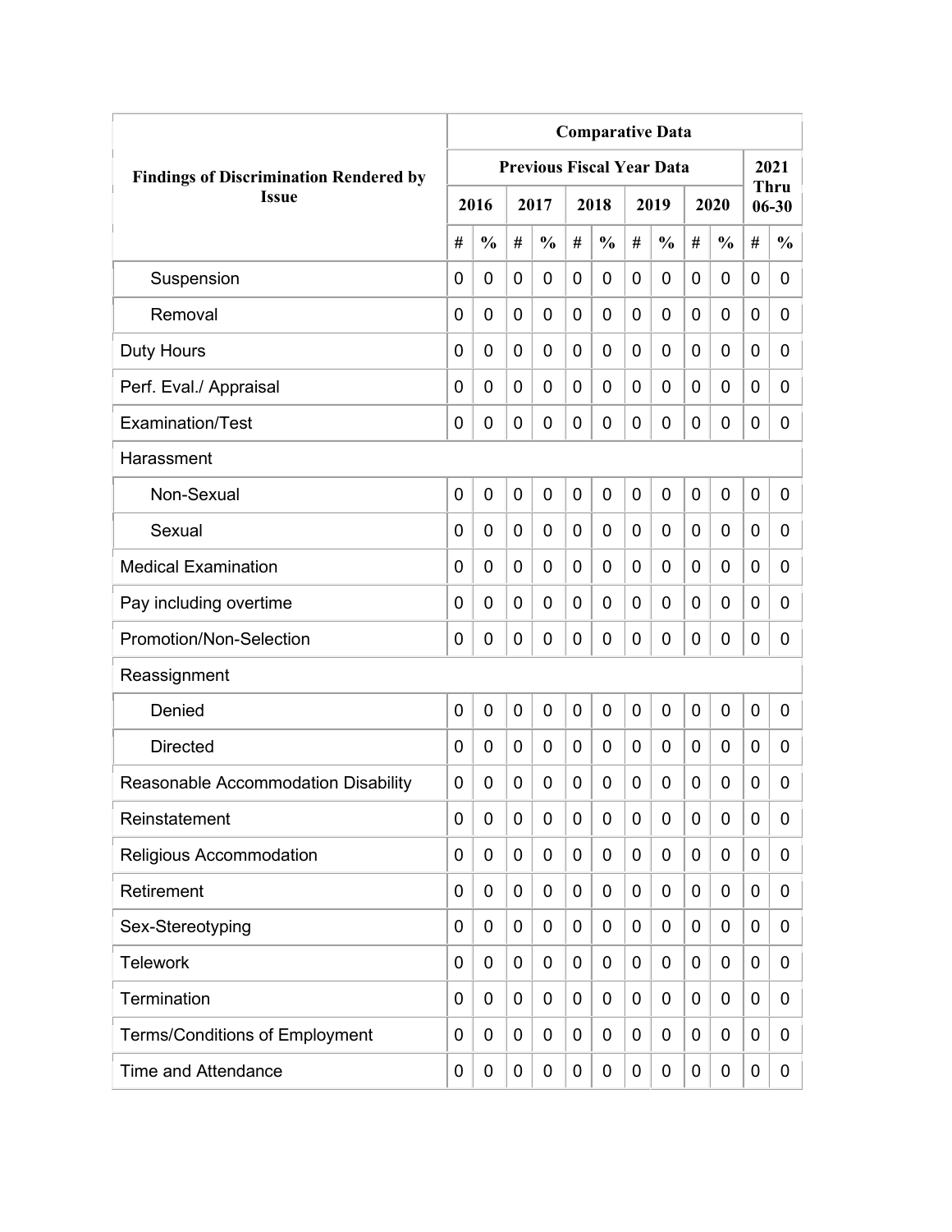|                                               | <b>Comparative Data</b> |                |   |                                  |             |               |             |               |   |               |             |                          |
|-----------------------------------------------|-------------------------|----------------|---|----------------------------------|-------------|---------------|-------------|---------------|---|---------------|-------------|--------------------------|
| <b>Findings of Discrimination Rendered by</b> |                         |                |   | <b>Previous Fiscal Year Data</b> |             |               |             |               |   |               |             | 2021                     |
| <b>Issue</b>                                  |                         | 2016           |   | 2017                             |             | 2018          |             | 2019          |   | 2020          |             | <b>Thru</b><br>$06 - 30$ |
|                                               | #                       | $\frac{0}{0}$  | # | $\frac{0}{0}$                    | #           | $\frac{0}{0}$ | #           | $\frac{0}{0}$ | # | $\frac{0}{0}$ | #           | $\frac{0}{0}$            |
| Suspension                                    | 0                       | $\mathbf 0$    | 0 | $\overline{0}$                   | $\mathbf 0$ | 0             | $\mathbf 0$ | 0             | 0 | $\mathbf 0$   | 0           | 0                        |
| Removal                                       | 0                       | 0              | 0 | $\overline{0}$                   | $\mathbf 0$ | 0             | 0           | 0             | 0 | $\mathbf 0$   | $\mathbf 0$ | 0                        |
| Duty Hours                                    | 0                       | 0              | 0 | 0                                | 0           | 0             | 0           | 0             | 0 | $\mathbf 0$   | 0           | 0                        |
| Perf. Eval./ Appraisal                        | 0                       | 0              | 0 | 0                                | 0           | 0             | 0           | 0             | 0 | $\mathbf 0$   | 0           | 0                        |
| Examination/Test                              | 0                       | 0              | 0 | 0                                | $\mathbf 0$ | 0             | 0           | 0             | 0 | $\mathbf 0$   | 0           | 0                        |
| Harassment                                    |                         |                |   |                                  |             |               |             |               |   |               |             |                          |
| Non-Sexual                                    | 0                       | $\overline{0}$ | 0 | 0                                | $\mathbf 0$ | 0             | $\mathbf 0$ | $\mathbf 0$   | 0 | $\mathbf 0$   | 0           | 0                        |
| Sexual                                        | 0                       | 0              | 0 | $\overline{0}$                   | 0           | 0             | 0           | 0             | 0 | $\mathbf 0$   | 0           | 0                        |
| <b>Medical Examination</b>                    | 0                       | 0              | 0 | $\overline{0}$                   | 0           | 0             | 0           | 0             | 0 | $\mathbf 0$   | $\mathbf 0$ | 0                        |
| Pay including overtime                        | 0                       | 0              | 0 | 0                                | 0           | 0             | 0           | 0             | 0 | $\mathbf 0$   | 0           | 0                        |
| Promotion/Non-Selection                       | 0                       | 0              | 0 | 0                                | $\mathbf 0$ | 0             | 0           | 0             | 0 | $\mathbf 0$   | 0           | 0                        |
| Reassignment                                  |                         |                |   |                                  |             |               |             |               |   |               |             |                          |
| Denied                                        | 0                       | $\mathbf 0$    | 0 | $\overline{0}$                   | $\mathbf 0$ | 0             | 0           | 0             | 0 | $\mathbf 0$   | 0           | 0                        |
| <b>Directed</b>                               | 0                       | $\mathbf 0$    | 0 | 0                                | $\mathbf 0$ | 0             | 0           | 0             | 0 | $\mathbf 0$   | 0           | 0                        |
| Reasonable Accommodation Disability           | 0                       | 0              | 0 | 0                                | 0           | 0             | 0           | 0             | 0 | 0             | 0           | 0                        |
| Reinstatement                                 | 0                       | 0              | 0 | 0                                | $\mathbf 0$ | 0             | 0           | 0             | 0 | $\mathbf 0$   | 0           | 0                        |
| Religious Accommodation                       | 0                       | 0              | 0 | 0                                | 0           | 0             | 0           | 0             | 0 | $\mathbf 0$   | 0           | 0                        |
| Retirement                                    | 0                       | 0              | 0 | 0                                | $\mathbf 0$ | 0             | 0           | 0             | 0 | $\mathbf 0$   | 0           | 0                        |
| Sex-Stereotyping                              | 0                       | 0              | 0 | 0                                | 0           | 0             | 0           | 0             | 0 | $\mathbf 0$   | 0           | 0                        |
| <b>Telework</b>                               | 0                       | 0              | 0 | 0                                | 0           | 0             | 0           | 0             | 0 | $\mathbf 0$   | 0           | 0                        |
| Termination                                   | 0                       | 0              | 0 | 0                                | $\mathbf 0$ | 0             | 0           | 0             | 0 | $\mathbf 0$   | 0           | 0                        |
| <b>Terms/Conditions of Employment</b>         | 0                       | 0              | 0 | 0                                | 0           | 0             | 0           | 0             | 0 | $\mathbf 0$   | 0           | 0                        |
| <b>Time and Attendance</b>                    | 0                       | 0              | 0 | 0                                | $\mathbf 0$ | 0             | 0           | 0             | 0 | $\mathbf 0$   | 0           | 0                        |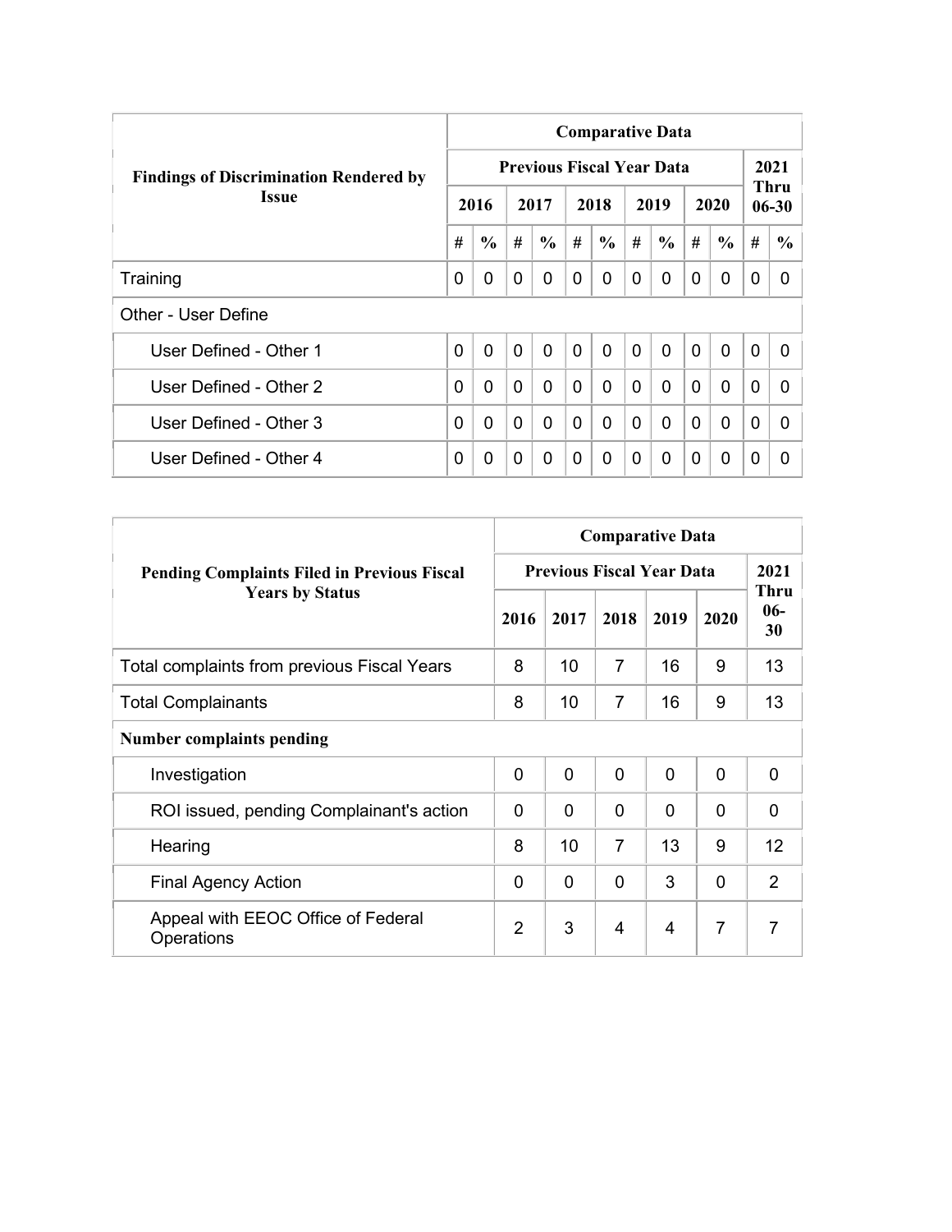|                                               | <b>Comparative Data</b> |               |                |                                  |                |                |              |               |                |               |                |                   |  |  |
|-----------------------------------------------|-------------------------|---------------|----------------|----------------------------------|----------------|----------------|--------------|---------------|----------------|---------------|----------------|-------------------|--|--|
| <b>Findings of Discrimination Rendered by</b> |                         |               |                | <b>Previous Fiscal Year Data</b> |                |                |              |               |                |               |                | 2021              |  |  |
| <b>Issue</b>                                  |                         | 2016          |                | 2017                             |                | 2018           |              | 2019          |                | 2020          |                | Thru<br>$06 - 30$ |  |  |
|                                               | #                       | $\frac{6}{6}$ | #              | $\frac{6}{6}$                    | #              | $\frac{6}{6}$  | #            | $\frac{6}{6}$ | #              | $\frac{6}{6}$ | #              | $\frac{6}{9}$     |  |  |
| Training                                      | 0                       | 0             | $\Omega$       | 0                                | 0              | $\Omega$       | 0            | 0             | $\Omega$       | 0             | 0              | 0                 |  |  |
| Other - User Define                           |                         |               |                |                                  |                |                |              |               |                |               |                |                   |  |  |
| User Defined - Other 1                        | 0                       | $\mathbf{0}$  | $\overline{0}$ | $\mathbf{0}$                     | $\overline{0}$ | $\overline{0}$ | $\mathbf{0}$ | $\Omega$      | $\overline{0}$ | $\mathbf{0}$  | $\overline{0}$ | 0                 |  |  |
| User Defined - Other 2                        | 0                       | 0             | $\mathbf{0}$   | $\Omega$                         | $\Omega$       | 0              | $\Omega$     | $\Omega$      | $\Omega$       | $\mathbf 0$   | $\Omega$       | <sup>0</sup>      |  |  |
| User Defined - Other 3                        | 0                       | 0             | $\Omega$       | 0                                | $\mathbf{0}$   | 0              | $\Omega$     | $\Omega$      | $\Omega$       | $\mathbf{0}$  | $\Omega$       | 0                 |  |  |
| User Defined - Other 4                        | 0                       | 0             | $\Omega$       | 0                                | 0              | $\Omega$       | 0            | $\Omega$      | 0              | $\mathbf 0$   | 0              | 0                 |  |  |

|                                                    |                |      |                | <b>Comparative Data</b>          |                |                            |  |
|----------------------------------------------------|----------------|------|----------------|----------------------------------|----------------|----------------------------|--|
| <b>Pending Complaints Filed in Previous Fiscal</b> |                |      |                | <b>Previous Fiscal Year Data</b> |                |                            |  |
| <b>Years by Status</b>                             | 2016           | 2017 | 2018           | 2019                             | 2020           | <b>Thru</b><br>$06-$<br>30 |  |
| Total complaints from previous Fiscal Years        | 8              | 10   | 7              | 16                               | 9              | 13                         |  |
| <b>Total Complainants</b>                          | 8              | 10   | $\overline{7}$ | 16                               | 9              | 13                         |  |
| <b>Number complaints pending</b>                   |                |      |                |                                  |                |                            |  |
| Investigation                                      | $\mathbf 0$    | 0    | $\overline{0}$ | $\Omega$                         | $\mathbf{0}$   | 0                          |  |
| ROI issued, pending Complainant's action           | $\Omega$       | 0    | $\mathbf{0}$   | 0                                | $\Omega$       | $\Omega$                   |  |
| Hearing                                            | 8              | 10   | $\overline{7}$ | 13                               | 9              | 12                         |  |
| <b>Final Agency Action</b>                         | $\Omega$       | 0    | $\Omega$       | 3                                | $\mathbf{0}$   | $\overline{2}$             |  |
| Appeal with EEOC Office of Federal<br>Operations   | $\overline{2}$ | 3    | 4              | 4                                | $\overline{7}$ | $\overline{7}$             |  |